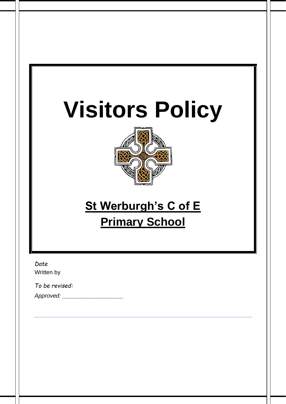# **Visitors Policy**



# **St Werburgh's C of E Primary School**

*Date*  Written by

*To be revised:* 

*Approved: \_\_\_\_\_\_\_\_\_\_\_\_\_\_\_\_\_\_\_*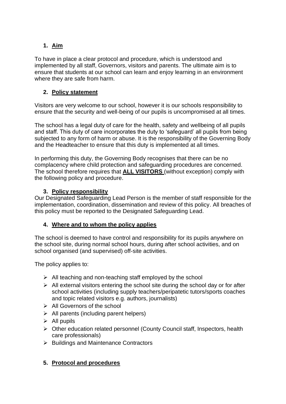# **1. Aim**

To have in place a clear protocol and procedure, which is understood and implemented by all staff, Governors, visitors and parents. The ultimate aim is to ensure that students at our school can learn and enjoy learning in an environment where they are safe from harm.

# **2. Policy statement**

Visitors are very welcome to our school, however it is our schools responsibility to ensure that the security and well-being of our pupils is uncompromised at all times.

The school has a legal duty of care for the health, safety and wellbeing of all pupils and staff. This duty of care incorporates the duty to 'safeguard' all pupils from being subjected to any form of harm or abuse. It is the responsibility of the Governing Body and the Headteacher to ensure that this duty is implemented at all times.

In performing this duty, the Governing Body recognises that there can be no complacency where child protection and safeguarding procedures are concerned. The school therefore requires that **ALL VISITORS** (without exception) comply with the following policy and procedure.

# **3. Policy responsibility**

Our Designated Safeguarding Lead Person is the member of staff responsible for the implementation, coordination, dissemination and review of this policy. All breaches of this policy must be reported to the Designated Safeguarding Lead.

# **4. Where and to whom the policy applies**

The school is deemed to have control and responsibility for its pupils anywhere on the school site, during normal school hours, during after school activities, and on school organised (and supervised) off-site activities.

The policy applies to:

- $\triangleright$  All teaching and non-teaching staff employed by the school
- $\triangleright$  All external visitors entering the school site during the school day or for after school activities (including supply teachers/peripatetic tutors/sports coaches and topic related visitors e.g. authors, journalists)
- ➢ All Governors of the school
- $\triangleright$  All parents (including parent helpers)
- $\triangleright$  All pupils
- ➢ Other education related personnel (County Council staff, Inspectors, health care professionals)
- ➢ Buildings and Maintenance Contractors

# **5. Protocol and procedures**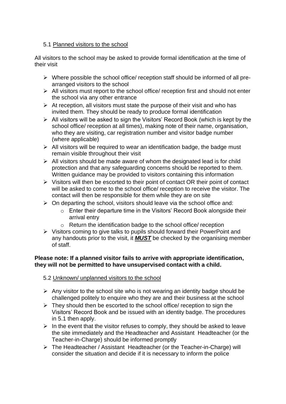#### 5.1 Planned visitors to the school

All visitors to the school may be asked to provide formal identification at the time of their visit

- ➢ Where possible the school office/ reception staff should be informed of all prearranged visitors to the school
- ➢ All visitors must report to the school office/ reception first and should not enter the school via any other entrance
- $\triangleright$  At reception, all visitors must state the purpose of their visit and who has invited them. They should be ready to produce formal identification
- ➢ All visitors will be asked to sign the Visitors' Record Book (which is kept by the school office/ reception at all times), making note of their name, organisation, who they are visiting, car registration number and visitor badge number (where applicable)
- $\triangleright$  All visitors will be required to wear an identification badge, the badge must remain visible throughout their visit
- $\triangleright$  All visitors should be made aware of whom the designated lead is for child protection and that any safeguarding concerns should be reported to them. Written guidance may be provided to visitors containing this information
- ➢ Visitors will then be escorted to their point of contact OR their point of contact will be asked to come to the school office/ reception to receive the visitor. The contact will then be responsible for them while they are on site
- $\triangleright$  On departing the school, visitors should leave via the school office and:
	- o Enter their departure time in the Visitors' Record Book alongside their arrival entry
	- o Return the identification badge to the school office/ reception
- ➢ Visitors coming to give talks to pupils should forward their PowerPoint and any handouts prior to the visit, it *MUST* be checked by the organising member of staff.

#### **Please note: If a planned visitor fails to arrive with appropriate identification, they will not be permitted to have unsupervised contact with a child.**

#### 5.2 Unknown/ unplanned visitors to the school

- $\triangleright$  Any visitor to the school site who is not wearing an identity badge should be challenged politely to enquire who they are and their business at the school
- $\triangleright$  They should then be escorted to the school office/ reception to sign the Visitors' Record Book and be issued with an identity badge. The procedures in 5.1 then apply.
- $\triangleright$  In the event that the visitor refuses to comply, they should be asked to leave the site immediately and the Headteacher and Assistant Headteacher (or the Teacher-in-Charge) should be informed promptly
- ➢ The Headteacher / Assistant Headteacher (or the Teacher-in-Charge) will consider the situation and decide if it is necessary to inform the police